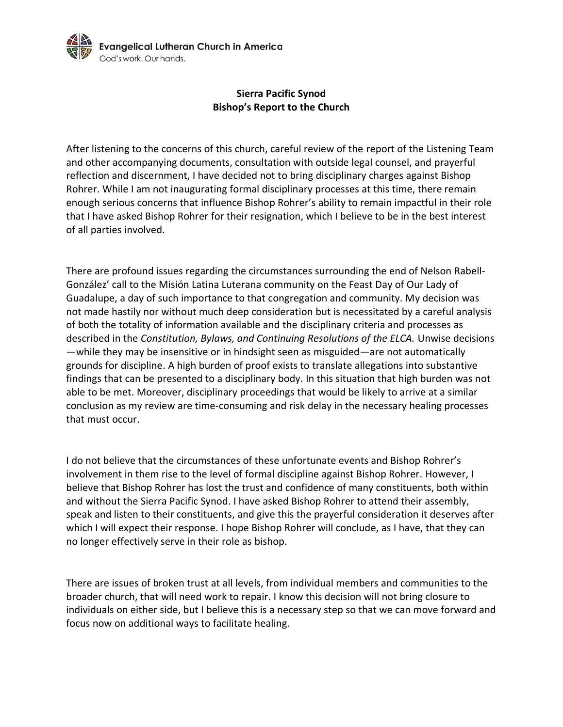

## **Sierra Pacific Synod Bishop's Report to the Church**

After listening to the concerns of this church, careful review of the report of the Listening Team and other accompanying documents, consultation with outside legal counsel, and prayerful reflection and discernment, I have decided not to bring disciplinary charges against Bishop Rohrer. While I am not inaugurating formal disciplinary processes at this time, there remain enough serious concerns that influence Bishop Rohrer's ability to remain impactful in their role that I have asked Bishop Rohrer for their resignation, which I believe to be in the best interest of all parties involved.

There are profound issues regarding the circumstances surrounding the end of Nelson Rabell-González' call to the Misión Latina Luterana community on the Feast Day of Our Lady of Guadalupe, a day of such importance to that congregation and community. My decision was not made hastily nor without much deep consideration but is necessitated by a careful analysis of both the totality of information available and the disciplinary criteria and processes as described in the *Constitution, Bylaws, and Continuing Resolutions of the ELCA.* Unwise decisions —while they may be insensitive or in hindsight seen as misguided—are not automatically grounds for discipline. A high burden of proof exists to translate allegations into substantive findings that can be presented to a disciplinary body. In this situation that high burden was not able to be met. Moreover, disciplinary proceedings that would be likely to arrive at a similar conclusion as my review are time-consuming and risk delay in the necessary healing processes that must occur.

I do not believe that the circumstances of these unfortunate events and Bishop Rohrer's involvement in them rise to the level of formal discipline against Bishop Rohrer. However, I believe that Bishop Rohrer has lost the trust and confidence of many constituents, both within and without the Sierra Pacific Synod. I have asked Bishop Rohrer to attend their assembly, speak and listen to their constituents, and give this the prayerful consideration it deserves after which I will expect their response. I hope Bishop Rohrer will conclude, as I have, that they can no longer effectively serve in their role as bishop.

There are issues of broken trust at all levels, from individual members and communities to the broader church, that will need work to repair. I know this decision will not bring closure to individuals on either side, but I believe this is a necessary step so that we can move forward and focus now on additional ways to facilitate healing.